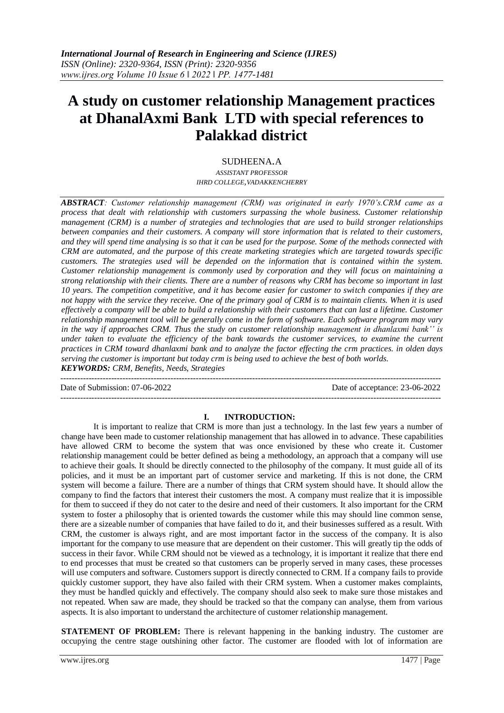# **A study on customer relationship Management practices at DhanalAxmi Bank LTD with special references to Palakkad district**

## SUDHEENA.A

*ASSISTANT PROFESSOR IHRD COLLEGE,VADAKKENCHERRY*

*ABSTRACT: Customer relationship management (CRM) was originated in early 1970's.CRM came as a process that dealt with relationship with customers surpassing the whole business. Customer relationship management (CRM) is a number of strategies and technologies that are used to build stronger relationships between companies and their customers. A company will store information that is related to their customers, and they will spend time analysing is so that it can be used for the purpose. Some of the methods connected with CRM are automated, and the purpose of this create marketing strategies which are targeted towards specific customers. The strategies used will be depended on the information that is contained within the system. Customer relationship management is commonly used by corporation and they will focus on maintaining a strong relationship with their clients. There are a number of reasons why CRM has become so important in last 10 years. The competition competitive, and it has become easier for customer to switch companies if they are not happy with the service they receive. One of the primary goal of CRM is to maintain clients. When it is used effectively a company will be able to build a relationship with their customers that can last a lifetime. Customer relationship management tool will be generally come in the form of software. Each software program may vary in the way if approaches CRM. Thus the study on customer relationship management in dhanlaxmi bank'' is under taken to evaluate the efficiency of the bank towards the customer services, to examine the current practices in CRM toward dhanlaxmi bank and to analyze the factor effecting the crm practices. in olden days serving the customer is important but today crm is being used to achieve the best of both worlds. KEYWORDS: CRM, Benefits, Needs, Strategies*

--------------------------------------------------------------------------------------------------------------------------------------- Date of Submission: 07-06-2022 Date of acceptance: 23-06-2022

## **I. INTRODUCTION:**

---------------------------------------------------------------------------------------------------------------------------------------

It is important to realize that CRM is more than just a technology. In the last few years a number of change have been made to customer relationship management that has allowed in to advance. These capabilities have allowed CRM to become the system that was once envisioned by these who create it. Customer relationship management could be better defined as being a methodology, an approach that a company will use to achieve their goals. It should be directly connected to the philosophy of the company. It must guide all of its policies, and it must be an important part of customer service and marketing. If this is not done, the CRM system will become a failure. There are a number of things that CRM system should have. It should allow the company to find the factors that interest their customers the most. A company must realize that it is impossible for them to succeed if they do not cater to the desire and need of their customers. It also important for the CRM system to foster a philosophy that is oriented towards the customer while this may should line common sense, there are a sizeable number of companies that have failed to do it, and their businesses suffered as a result. With CRM, the customer is always right, and are most important factor in the success of the company. It is also important for the company to use measure that are dependent on their customer. This will greatly tip the odds of success in their favor. While CRM should not be viewed as a technology, it is important it realize that there end to end processes that must be created so that customers can be properly served in many cases, these processes will use computers and software. Customers support is directly connected to CRM. If a company fails to provide quickly customer support, they have also failed with their CRM system. When a customer makes complaints, they must be handled quickly and effectively. The company should also seek to make sure those mistakes and not repeated. When saw are made, they should be tracked so that the company can analyse, them from various aspects. It is also important to understand the architecture of customer relationship management.

**STATEMENT OF PROBLEM:** There is relevant happening in the banking industry. The customer are occupying the centre stage outshining other factor. The customer are flooded with lot of information are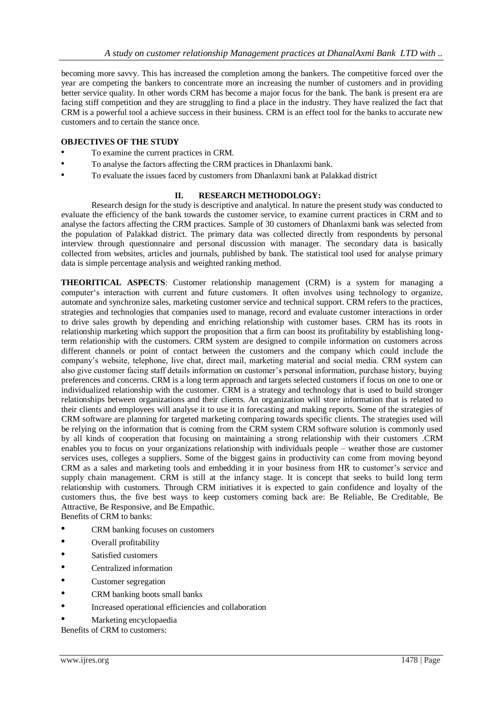becoming more savvy. This has increased the completion among the bankers. The competitive forced over the year are competing the bankers to concentrate more an increasing the number of customers and in providing better service quality. In other words CRM has become a major focus for the bank. The bank is present era are facing stiff competition and they are struggling to find a place in the industry. They have realized the fact that CRM is a powerful tool a achieve success in their business. CRM is an effect tool for the banks to accurate new customers and to certain the stance once.

## **OBJECTIVES OF THE STUDY**

- To examine the current practices in CRM.
- To analyse the factors affecting the CRM practices in Dhanlaxmi bank.
- To evaluate the issues faced by customers from Dhanlaxmi bank at Palakkad district

## **II. RESEARCH METHODOLOGY:**

Research design for the study is descriptive and analytical. In nature the present study was conducted to evaluate the efficiency of the bank towards the customer service, to examine current practices in CRM and to analyse the factors affecting the CRM practices. Sample of 30 customers of Dhanlaxmi bank was selected from the population of Palakkad district. The primary data was collected directly from respondents by personal interview through questionnaire and personal discussion with manager. The secondary data is basically collected from websites, articles and journals, published by bank. The statistical tool used for analyse primary data is simple percentage analysis and weighted ranking method.

**THEORITICAL ASPECTS**: Customer relationship management (CRM) is a system for managing a computer's interaction with current and future customers. It often involves using technology to organize, automate and synchronize sales, marketing customer service and technical support. CRM refers to the practices, strategies and technologies that companies used to manage, record and evaluate customer interactions in order to drive sales growth by depending and enriching relationship with customer bases. CRM has its roots in relationship marketing which support the proposition that a firm can boost its profitability by establishing longterm relationship with the customers. CRM system are designed to compile information on customers across different channels or point of contact between the customers and the company which could include the company's website, telephone, live chat, direct mail, marketing material and social media. CRM system can also give customer facing staff details information on customer's personal information, purchase history, buying preferences and concerns. CRM is a long term approach and targets selected customers if focus on one to one or individualized relationship with the customer. CRM is a strategy and technology that is used to build stronger relationships between organizations and their clients. An organization will store information that is related to their clients and employees will analyse it to use it in forecasting and making reports. Some of the strategies of CRM software are planning for targeted marketing comparing towards specific clients. The strategies used will be relying on the information that is coming from the CRM system CRM software solution is commonly used by all kinds of cooperation that focusing on maintaining a strong relationship with their customers .CRM enables you to focus on your organizations relationship with individuals people – weather those are customer services uses, colleges a suppliers. Some of the biggest gains in productivity can come from moving beyond CRM as a sales and marketing tools and embedding it in your business from HR to customer's service and supply chain management. CRM is still at the infancy stage. It is concept that seeks to build long term relationship with customers. Through CRM initiatives it is expected to gain confidence and loyalty of the customers thus, the five best ways to keep customers coming back are: Be Reliable, Be Creditable, Be Attractive, Be Responsive, and Be Empathic. Benefits of CRM to banks:

• CRM banking focuses on customers

- Overall profitability
- Satisfied customers
- Centralized information
- Customer segregation
- CRM banking boots small banks
- Increased operational efficiencies and collaboration
- Marketing encyclopaedia

Benefits of CRM to customers: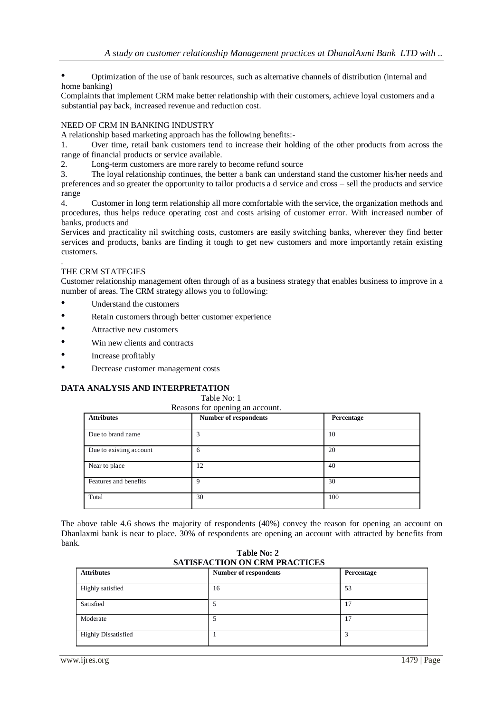• Optimization of the use of bank resources, such as alternative channels of distribution (internal and home banking)

Complaints that implement CRM make better relationship with their customers, achieve loyal customers and a substantial pay back, increased revenue and reduction cost.

## NEED OF CRM IN BANKING INDUSTRY

A relationship based marketing approach has the following benefits:-

1. Over time, retail bank customers tend to increase their holding of the other products from across the range of financial products or service available.

2. Long-term customers are more rarely to become refund source

3. The loyal relationship continues, the better a bank can understand stand the customer his/her needs and preferences and so greater the opportunity to tailor products a d service and cross – sell the products and service range

4. Customer in long term relationship all more comfortable with the service, the organization methods and procedures, thus helps reduce operating cost and costs arising of customer error. With increased number of banks, products and

Services and practicality nil switching costs, customers are easily switching banks, wherever they find better services and products, banks are finding it tough to get new customers and more importantly retain existing customers.

#### . THE CRM STATEGIES

Customer relationship management often through of as a business strategy that enables business to improve in a number of areas. The CRM strategy allows you to following:

- Understand the customers
- Retain customers through better customer experience
- Attractive new customers
- Win new clients and contracts
- Increase profitably
- Decrease customer management costs

## **DATA ANALYSIS AND INTERPRETATION**

Table No: 1

| <b>Attributes</b>       | Number of respondents | Percentage |
|-------------------------|-----------------------|------------|
| Due to brand name       |                       | 10         |
| Due to existing account | 6                     | 20         |
| Near to place           | 12                    | 40         |
| Features and benefits   | 9                     | 30         |
| Total                   | 30                    | 100        |

The above table 4.6 shows the majority of respondents (40%) convey the reason for opening an account on Dhanlaxmi bank is near to place. 30% of respondents are opening an account with attracted by benefits from bank.

 **Table No: 2 SATISFACTION ON CRM PRACTICES**

| <b>Attributes</b>          | <b>Number of respondents</b> | Percentage |
|----------------------------|------------------------------|------------|
| Highly satisfied           | 16                           | 53         |
| Satisfied                  |                              | 17         |
| Moderate                   |                              | 17         |
| <b>Highly Dissatisfied</b> |                              |            |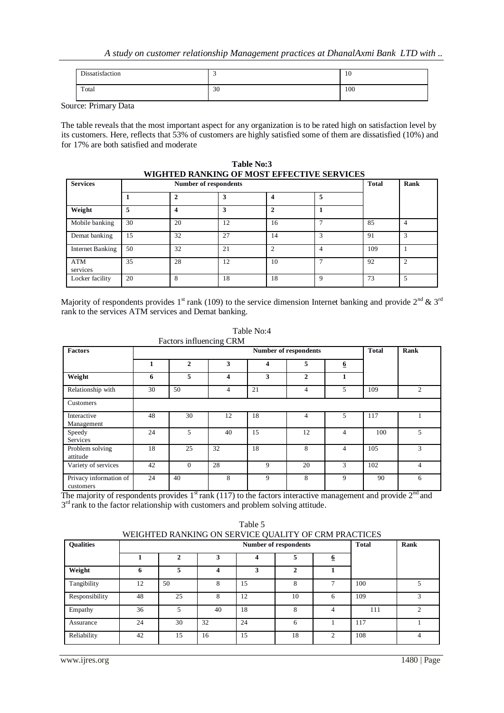| Dissatisfaction |    | 10  |
|-----------------|----|-----|
| Total           | 30 | 100 |

Source: Primary Data

The table reveals that the most important aspect for any organization is to be rated high on satisfaction level by its customers. Here, reflects that 53% of customers are highly satisfied some of them are dissatisfied (10%) and for 17% are both satisfied and moderate

**Table No:3 WIGHTED RANKING OF MOST EFFECTIVE SERVICES**

| <b>Services</b>         |    |    | <b>Number of respondents</b> |    |   | <b>Total</b> | Rank |
|-------------------------|----|----|------------------------------|----|---|--------------|------|
|                         |    |    | 3                            | 4  | 5 |              |      |
| Weight                  | 5  | 4  | 3                            | 2  |   |              |      |
| Mobile banking          | 30 | 20 | 12                           | 16 |   | 85           | 4    |
| Demat banking           | 15 | 32 | 27                           | 14 | 3 | 91           | 3    |
| <b>Internet Banking</b> | 50 | 32 | 21                           | C  | 4 | 109          |      |
| ATM<br>services         | 35 | 28 | 12                           | 10 |   | 92           | ◠    |
| Locker facility         | 20 | 8  | 18                           | 18 | 9 | 73           | 5    |

Majority of respondents provides 1<sup>st</sup> rank (109) to the service dimension Internet banking and provide 2<sup>nd</sup> & 3<sup>rd</sup> rank to the services ATM services and Demat banking.

| <b>Factors</b>                      |    |              |    |                         | <b>Number of respondents</b> |                  | Rank |   |
|-------------------------------------|----|--------------|----|-------------------------|------------------------------|------------------|------|---|
|                                     | 1  | $\mathbf{2}$ | 3  | $\overline{\mathbf{4}}$ | 5                            | $6 \overline{6}$ |      |   |
| Weight                              | 6  | 5            | 4  | 3                       | $\overline{2}$               | 1                |      |   |
| Relationship with                   | 30 | 50           | 4  | 21                      | 4                            | 5                | 109  | 2 |
| Customers                           |    |              |    |                         |                              |                  |      |   |
| Interactive<br>Management           | 48 | 30           | 12 | 18                      | 4                            | 5                | 117  |   |
| Speedy<br>Services                  | 24 | 5            | 40 | 15                      | 12                           | 4                | 100  | 5 |
| Problem solving<br>attitude         | 18 | 25           | 32 | 18                      | 8                            | 4                | 105  | 3 |
| Variety of services                 | 42 | $\Omega$     | 28 | 9                       | 20                           | 3                | 102  | 4 |
| Privacy information of<br>customers | 24 | 40           | 8  | 9                       | 8                            | 9                | 90   | 6 |

Table No:4 Factors influencing CRM

The majority of respondents provides  $1<sup>st</sup>$  rank (117) to the factors interactive management and provide  $2<sup>nd</sup>$  and 3<sup>rd</sup> rank to the factor relationship with customers and problem solving attitude.

| Table 5<br>WEIGHTED RANKING ON SERVICE QUALITY OF CRM PRACTICES |    |                              |    |    |              |                |     |               |
|-----------------------------------------------------------------|----|------------------------------|----|----|--------------|----------------|-----|---------------|
| <b>Oualities</b>                                                |    | <b>Number of respondents</b> |    |    |              |                |     | Rank          |
|                                                                 |    | $\mathbf{2}$                 | 3  | 4  | 5            | 6              |     |               |
| Weight                                                          | 6  | 5                            | 4  | 3  | $\mathbf{2}$ |                |     |               |
| Tangibility                                                     | 12 | 50                           | 8  | 15 | 8            | $\overline{ }$ | 100 | 5             |
| Responsibility                                                  | 48 | 25                           | 8  | 12 | 10           | 6              | 109 | 3             |
| Empathy                                                         | 36 | 5                            | 40 | 18 | 8            | $\overline{4}$ | 111 | $\mathcal{D}$ |
| Assurance                                                       | 24 | 30                           | 32 | 24 | 6            |                | 117 |               |
| Reliability                                                     | 42 | 15                           | 16 | 15 | 18           | $\mathfrak{D}$ | 108 | 4             |